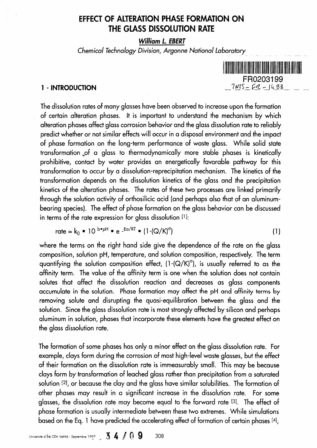# **EFFECT OF ALTERATION PHASE FORMATION ON THE GLASS DISSOLUTION RATE**

**William L. EBERT**

**Chemical Technology Division, Argonne National Laboratory**



The dissolution rates of many glasses have been observed to increase upon the formation of certain alteration phases. It is important to understand the mechanism by which alteration phases affect glass corrosion behavior and the glass dissolution rate to reliably predict whether or not similar effects will occur in a disposal environment and the impact of phase formation on the long-term performance of waste glass. While solid state transformation of a glass to thermodynamically more stable phases is kinetically prohibitive, contact by water provides an energetically favorable pathway for this transformation to occur by a dissolution-reprecipitation mechanism. The kinetics of the transformation depends on the dissolution kinetics of the glass and the precipitation kinetics of the alteration phases. The rates of these two processes are linked primarily through the solution activity of orthosilicic acid (and perhaps also that of an aluminumbearing species). The effect of phase formation on the glass behavior can be discussed in terms of the rate expression for glass dissolution [1]:

rate = 
$$
k_0 \cdot 10^{b \cdot pH} \cdot e^{-E\alpha/RT} \cdot (1-(Q/K)^{\circ})
$$
 (1)

where the terms on the right hand side give the dependence of the rate on the glass composition, solution pH, temperature, and solution composition, respectively. The term quantifying the solution composition effect,  $(1-(Q/K)^{\sigma})$ , is usually referred to as the affinity term. The value of the affinity term is one when the solution does not contain solutes that affect the dissolution reaction and decreases as glass components accumulate in the solution. Phase formation may affect the pH and affinity terms by removing solute and disrupting the quasi-equilibration between the glass and the solution. Since the glass dissolution rate is most strongly affected by silicon and perhaps aluminum in solution, phases that incorporate these elements have the greatest effect on the glass dissolution rate.

The formation of some phases has only a minor effect on the glass dissolution rate. For example, clays form during the corrosion of most high-level waste glasses, but the effect of their formation on the dissolution rate is immeasurably small. This may be because clays form by transformation of leached glass rather than precipitation from a saturated solution [2], or because the clay and the glass have similar solubilities. The formation of other phases may result in a significant increase in the dissolution rate. For some glasses, the dissolution rate may become equal to the forward rate [3]. The effect of phase formation is usually intermediate between these two extremes. While simulations based on the Eq. 1 have predicted the accelerating effect of formation of certain phases [4],

Université d'Été CEA Volthô - Septembre 1997 **34 / 09** 308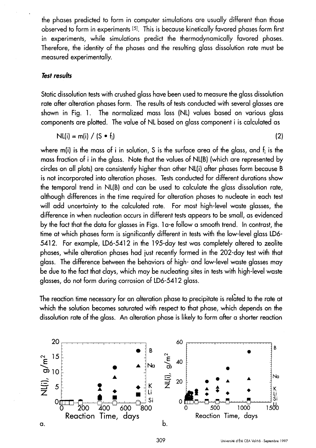the phases predicted to forrn in computer simulations are usually different than those observed to form in experiments [5]. This is because kinetically favored phases form first in experiments, while simulations predict the thermodynamically favored phases. Therefore, the identity of the phases and the resulting glass dissolution rate must be measured experimentally.

## **Test results**

Static dissolution tests with crushed glass have been used to measure the glass dissolution rate after alteration phases form. The results of tests conducted with several glasses are shown in Fig. 1. The normalized mass loss (NL) values based on various glass components are plotted. The value of NL- based on glass component i is calculated as

$$
N L(i) = m(i) / (S \cdot f_i)
$$
 (2)

where m(i) is the mass of i in solution, S is the surface area of the glass, and  $f_i$  is the mass fraction of i in the glass. Note that the values of NL(B) (which are represented by circles on all plots) are consistently higher than other NL(i) after phases form because B is not incorporated into alteration phases. Tests conducted for different durations show the temporal trend in NL(B) and can be used to calculate the glass dissolution rate, although differences in the time required for alteration phases to nucleate in each test will add uncertainty to the calculated rate. For most high-level waste glasses, the difference in when nucleation occurs in different tests appears to be small, as evidenced by the fact that the data for glasses in Figs. 1 a-e follow a smooth trend. In contrast, the time at which phases form is significantly different in tests with the low-level glass LD6- 5412. For example, LD6-5412 in the 195-day test was completely altered to zeolite phases, while alteration phases had just recently formed in the 202-day test with that glass. The difference between the behdviors of high- and low-level waste glasses may be due to the fact that clays, which may be nucleating sites in tests with high-level waste glasses, do not form during corrosion of LD6-5412 glass.

The reaction time necessary for an alteration phase to precipitate is related to the rate at which the solution becomes saturated with respect to that phase, which depends on the dissolution rate of the glass. An alteration phase is likely to form after a shorter reaction

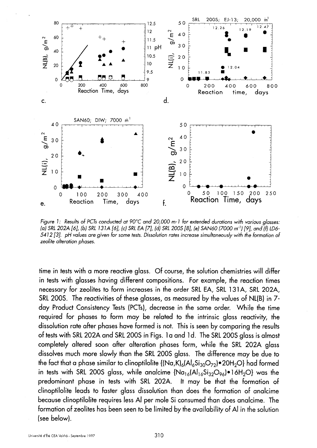

Figure 1: Results of PCTs conducted at 90°C and 20,000 m-1 for extended durations with various glasses: (a) SRL 202A [6], (b) SRL 131A [6], (c) SRL EA [7], (d) SRL 200S [8], (e) SAN60 (7000 m<sup>-1</sup>) [9], and (f) LD6-5412 [3]. pH values are given for some tests. Dissolution rates increase simultaneously with the formation of zeolite alteration phases.

time in tests with a more reactive glass. Of course, the solution chemistries will differ in tests with glasses having different compositions. For example, the reaction times necessary for zeolites to form increases in the order SRL EA, SRL 131A, SRL 202A, SRL 200S. The reactivities of these glasses, as measured by the values of NL(B) in 7 day Product Consistency Tests (PCTs), decrease in the same order. While the time required for phases to form may be related to the intrinsic glass reactivity, the dissolution rate after phases have formed is not. This is seen by comparing the results of tests with SRL 202A and SRL 200S in Figs. 1a and 1d. The SRL 200S glass is almost completely altered soon after alteration phases form, while the SRI- 202A glass dissolves much more slowly than the SRI- 200S glass. The difference may be due to the fact that a phase similar to clinoptilolite  $\{(\text{Na,K})_{6}(\text{Al}_{6}\text{Si}_{30}\text{O}_{72})\cdot20\text{H}_{2}\text{O}\}\)$  had formed in tests with SRL 200S glass, while analcime  $\{Na_{16}(Al_{16}Si_{32}O_{96})\bullet\}$  16H<sub>2</sub>O} was the predominant phase in tests with SRL 202A. It may be that the formation of clinoptilolite leads to faster glass dissolution than does the formation of analcime because clinoptlolite requires less Al per mole Si consumed than does analcime. The formation of zeolites has been seen to be limited by the availability of Al in the solution (see below).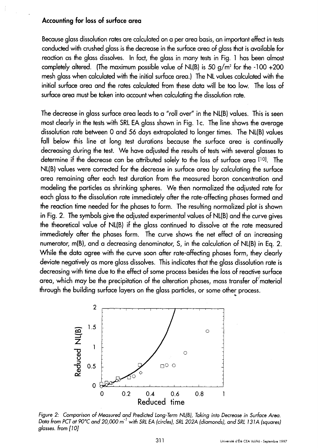#### **Accounting for loss of surface area**

Because glass dissolution rates are calculated on a per area basis, an important effect in tests conducted with crushed glass is the decrease in the surface area of glass that is available for reaction as the glass dissolves. In fact, the glass in many tests in Fig. 1 has been almost completely altered. (The maximum possible value of NL(B) is 50 g/m<sup>2</sup> for the -100 +200 mesh glass when calculated with the initial surface area.) The NL values calculated with the initial surface area and the rates calculated from these data will be too low. The loss of surface area must be taken into account when calculating the dissolution rate.

The decrease in glass surface area leads to a "roll over" in the NL(B) values. This is seen most clearly in the tests with SRL EA glass shown in Fig. 1 c. The line shows the average dissolution rate between 0 and 56 days extrapolated to longer times. The NL(B) values fall below this line at long test durations because the surface area is continually decreasing during the test. We have adjusted the results of tests with several alasses to determine if the decrease can be attributed solely to the loss of surface area [10]. The NL(B) values were corrected for the decrease in surface area by calculating the surface area remaining after each test duration from the measured boron concentration and modeling the particles as shrinking spheres. We then normalized the adjusted rate for each glass to the dissolution rate immediately after the rate-affecting phases formed and the reaction time needed for the phases to form. The resulting normalized plot is shown in Fig. 2. The symbols give the adjusted experimental values of NL(B) and the curve gives the theoretical value of NL(B) if the glass continued to dissolve at the rate measured immediately after the phases form. The curve shows the net effect of an increasing numerator, m(B), and a decreasing denominator, S, in the calculation of NL(B) in Eq. 2. While the data agree with the curve soon after rate-affecting phases form, they clearly deviate negatively as more **glass** dissolves. This indicates that the glass dissolution rate is decreasing with time due to the effect of some process besides the loss of reactive surface area, which may be the precipitation of the alteration phases, mass transfer of material through the building surface layers on the glass particles, or some other process.



Figure 2: Comparison of Measured and Predicted Long-Term NL(B), Taking into Decrease in Surface Area. Data from PCT at 90°C and 20,000 m<sup>-1</sup> with SRL EA (circles), SRL 202A (diamonds), and SRL 131A (squares) glasses. from [10]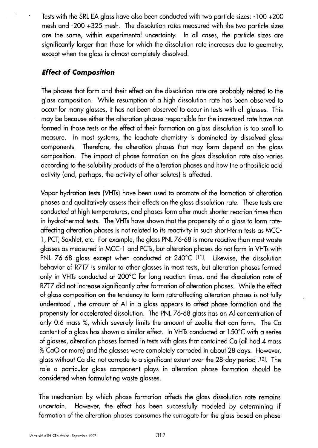Tests with the SRL EA glass have also been conducted with two particle sizes: - 100 +200 mesh and -200 +325 mesh. The dissolution rates measured with the two particle sizes are the same, within experimental uncertainty. In all cases, the particle sizes are significantly larger than those for which the dissolution rate increases due to geometry, except when the glass is almost completely dissolved.

## **Effect of Composition**

The phases that form and their effect on the dissolution rate are probably related to the glass composition. While resumption of a high dissolution rate has been observed to occur for many glasses, it has not been observed to occur in tests with all glasses. This may be because either the alteration phases responsible for the increased rate have not formed in those tests or the effect of their formation on glass dissolution is too small to measure. In most systems, the leachate chemistry is dominated by dissolved glass components. Therefore, the alteration phases that may form depend on the glass composition. The impact of phase formation on the glass dissolution rate also varies according to the solubility products of the alteration phases and how the orthosilicic acid activity (and, perhaps, the activity of other solutes) is affected.

Vapor hydration tests (VHTs) have been used to promote of the formation of alteration phases and qualitatively assess their effects on the glass dissolution rate. These tests are conducted at high temperatures, and phases form after much shorter reaction times than in hydrothermal tests. The VHTs have shown that the propensity of a glass to form rateaffecting alteration phases is not related to its reactivity in such short-term tests as MCC-1, PCT, Soxhiet, etc. For example, the glass PNL- 76-68 **is** more reactive than most waste glasses as measured in MCC- 1 and PCTs, but alteration phases do not form in VHTs with PNL-76-68 glass except when conducted at  $240^{\circ}$ C [11]. Likewise, the dissolution behavior of R7T7 is similar to other glasses in most tests, but alteration phases formed only in VHTs conducted at 200'C for long reaction times, and the dissolution rate of R7T7 did not increase significantly after formation of alteration phases. While the effect of glass composition on the tendency to form rate-affecting alteration phases is not fully understood , the amount of Al in a glass appears to affect phase formation and the propensity for accelerated dissolution. The PNL 76-68 glass has an Al concentration of only 0.6 mass %, which severely limits the amount of zeolite that can form. The Ca content of a glass has shown a similar effect. In VHTs conducted at 150°C with a series of glasses, alteration phases formed in tests with glass that contained Ca (all had 4 mass % CaO or more) and the glasses were completely corroded in about 28 days. However, glass without Ca did not corrode to a significant extent over the 28-day period [12I. The role a particular glass component plays in alteration phase formation should be considered when formulating waste glasses.

The mechanism by which phase formation affects the glass dissolution rate remains uncertain. However, the effect has been successfully modeled by determining if formation of the alteration phases consumes the surrogate for the glass based on phase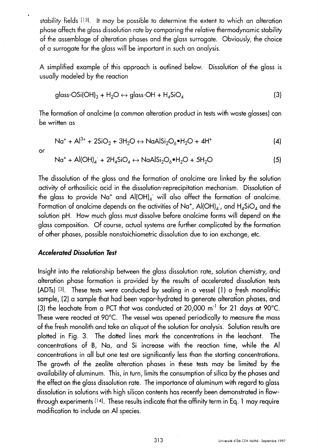stability fields [13]. It may be possible to determine the extent to which an alteration phase affects the glass dissolution rate by comparing the relative thermodynamic stability **of** the assemblage of alteration phases and the glass surrogate. Obviously, the choice of a surrogate for the glass will be important in such an analysis.

A simplified example of this approach is outlined below. Dissolution of the **glass** is usually modeled **by** the reaction

$$
glass-OSi(OH)3 + H2O \leftrightarrow glass-OH + H4SiO4
$$
 (3)

The formation of analcime (a common alteration product in tests with waste glasses) can be written as

$$
Na^{+} + Al^{3+} + 2SiO_{2} + 3H_{2}O \leftrightarrow NaAlSi_{2}O_{6} \bullet H_{2}O + 4H^{+}
$$
 (4)

or

$$
Na^{+} + Al(OH)_{4} + 2H_{4}SiO_{4} \leftrightarrow NaAlSi_{2}O_{6} \bullet H_{2}O + 5H_{2}O
$$
 (5)

The dissolution of the glass and the formation of analcime are linked by the solution activity of orthosilicic acid in the dissolution-reprecipitation mechanism. Dissolution of the glass to provide Na<sup>+</sup> and Al(OH)<sub>4</sub> will also affect the formation of analcime. Formation of analcime depends on the activities of Na<sup>+</sup>, Al(OH)<sub>4</sub>, and H<sub>4</sub>SiO<sub>4</sub> and the solution pH. How much glass must dissolve before analcime forms will depend on the glass composition. Of course, actual systems are further complicated by the formation of other phases, possible nonstoichiometric dissolution due to ion exchange, etc.

## **Accelerated Dissolution Test**

Insight into the relationship between the glass dissolution rate, solution chemistry, and alteration phase formation is provided by the results of accelerated dissolution tests (ADTs)  $[3]$ . These tests were conducted by sealing in a vessel (1) a fresh monolithic sample, (2) a sample that had been vapor-hydrated to generate alteration phases, and (3) the leachate from a PCT that was conducted at 20,000 m<sup>-1</sup> for 21 days at 90°C. These were reacted at 90°C. The vessel was opened periodically to measure the mass of the fresh monolith and take an aliquot of the solution for analysis. Solution results are plotted in Fig. 3. The dotted lines mark the concentrations in the leachant. The concentrations of B, Na, and Si increase with the reaction time, while the Al concentrations in all but one test are significantly less than the starting concentrations. The growth of the zeolite alteration phases in these tests may be limited by the availability of aluminum. This, in turn, limits the consumption of silica by the phases and the effect on the glass dissolution rate. The importance of aluminum with regard to glass dissolution in solutions with high silicon contents has recently been demonstrated in flowthrough experiments 141. These results indicate that the affinity term in Eq. 1 may require modification to include an Al species.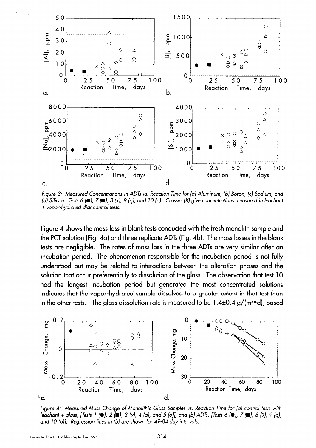

Figure 3: Measured Concentrations in ADTs **vs.** Reaction Time for (a) Aluminum, (b) Boron, (c) Sodium, and (d) Silicon. Tests 6 **(0),** 7 (E), 8 **(x),** 9 (q), and 10 (o). Crosses (X) give concentrations measured in leochant + vapor-hydrated disk control tests.

Figure 4 shows the mass loss in blank tests conducted with the fresh monolith sample and the PCT solution (Fig. 4a) and three replicate ADTs (Fig. 4b). The mass losses in the blank tests are negligible. The rates of mass loss in the three ADTs are very similar after an incubation period. The phenomenon responsible for the incubation period is not fully understood but may be related to interactions between the alteration phases and the solution that occur preferentially to dissolution of the glass. The observation that test 10 had the longest incubation period but generated the most concentrated solutions indicates that the vapor-hydrated sample dissolved to a greater extent in that test than in the other tests. The glass dissolution rate is measured to be  $1.4\pm 0.4$  g/(m<sup>2</sup>•d), based



Figure 4: Measured Mass Change of Monolithic Glass Samples **vs.** Reaction Time for (a) control tests with leachant + glass, [Tests 1 **(0)**, 2 **(2)**, 3 (x), 4 (q), and 5 (o)], and (b) ADTs, [Tests 6 **(0)**, 7 **(2)**, 8 (0), 9 (q), and 10 (o)]. Regression lines in (b) are shown for 49-84 day intervals.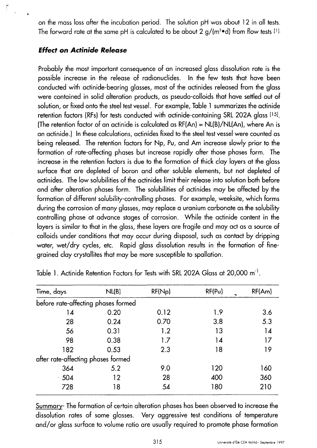on the mass loss after the incubation period. The solution pH was about 12 in all tests. The forward rate at the same pH is calculated to be about 2  $g/(m^2 \cdot d)$  from flow tests [1].

## **Effect on Actinide Release**

Probably the most important consequence of an increased glass dissolution rate is the possible increase in the release of radionuclides. In the few tests that have been conducted with actinide-bearing glasses, most of the actinides released from the glass were contained in solid alteration products, as pseudo-colloids that have settled out of solution, or fixed onto the steel test vessel. For example, Table 1 summarizes the actinide retention factors (RFs) for tests conducted with actinide-containing SRL 202A glass [15]. (The retention factor of an actinide is calculated as  $RF(An) = NL(B)/NL(An)$ , where An is an actinide.) In these calculations, actinides fixed to the steel test vessel were counted as being released. The retention factors for Np, Pu, and Am increase slowly prior to the formation of rate-affecting phases but increase rapidly after those phases form. The increase in the retention factors is due to the formation of thick clay layers at the glass surface that are depleted of boron and other soluble elements, but not depleted of actinides. The low solubilities of the actinides limit their release into solution both before and after alteration phases form. The solubilities of actinides may be affected by the formation of different solubility-controlling phases. For example, weeksite, which forms during the corrosion of many glasses, may replace a uranium carbonate as the solubility controlling phase at advance stages of corrosion. While the actinide content in the layers is similar to that in the glass, these layers are fragile and may act as a source of colloids under conditions that may occur during disposal, such as contact by dripping water, wet/dry cycles, etc. Rapid glass dissolution results in the formation of finegrained clay crystallites that may be more susceptible to spallation.

| Time, days                          | N <sub>L</sub> (B) | RF(Np) | RF(P <sub>U</sub> ) | RF(Am) |
|-------------------------------------|--------------------|--------|---------------------|--------|
| before rate-affecting phases formed |                    |        |                     |        |
| 14                                  | 0.20               | 0.12   | 1.9                 | 3.6    |
| 28                                  | 0.24               | 0.70   | 3.8                 | 5.3    |
| 56                                  | 0.31               | 1.2    | 13                  | 14     |
| 98                                  | 0.38               | 1.7    | 14                  | 17     |
| 182                                 | 0.53               | 2.3    | 18                  | 19     |
| after rate-affecting phases formed  |                    |        |                     |        |
| 364                                 | 5.2                | 9.0    | 120                 | 160    |
| 504                                 | 12                 | 28     | 400                 | 360    |
| 728                                 | 18                 | 54     | 180                 | 210    |
|                                     |                    |        |                     |        |

Table 1. Actinide Retention Factors for Tests with SRL 202A Glass at 20,000 m<sup>-1</sup>.

Summary- The formation of certain alteration phases has been observed to increase the dissolution rates of some glasses. Very aggressive test conditions of temperature and/or glass surface to volume ratio are usually required to promote phase formation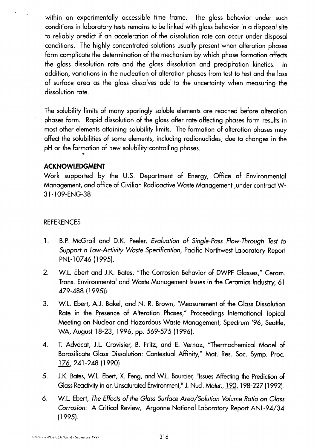within an experimentally accessible time frame. The glass behavior under such conditions in laboratory tests remains to be linked with glass behavior in a disposal site to reliably predict if an acceleration of the dissolution rate can occur under disposal conditions. The highly concentrated solutions usually present when alteration phases form complicate the determination of the mechanism by which phase formation affects the glass dissolution rate and the glass dissolution and precipitation kinetics. In addition, variations in the nucleation of alteration phases from test to test and the loss of surface area as the glass dissolves add to the uncertainty when measuring the dissolution rate.

The solubility limits of many sparingly soluble elements are reached before alteration phases form. Rapid dissolution of the glass after rate-affecting phases form results in most other elements attaining solubility limits. The formation of alteration phases may affect the solubilities of some elements, including radionuclides, due to changes in the pH or the formation of new, solubility-controlling phases.

## **ACKNOWLEDGMENT**

Work supported by the U.S. Department of Energy, Office of Environmental Management, and office of Civilian Radioactive Waste Management ,under contract W-31-1 09-ENG-38

## REFERENCES

- 1. B.P. McGrail and D.K. Peeler, Evaluation of Single-Pass Flow-Through Test to Support a Low-Activity Waste Specification, Pacific Northwest Laboratory Report PNL-10746 (1995).
- 2. W.L. Ebert and J.K. Bates, "The Corrosion Behavior of DWPF Glasses," Ceram. Trans. Environmental and Waste Management Issues in the Ceramics Industry, 61 479-488 (1995)).
- 3. W.L. Ebert, A.J. Bakel, and N. R. Brown, "Measurement of the Glass Dissolution Rate in the Presence of Alteration Phases," Proceedings International Topical Meeting on Nuclear and Hazardous Waste Management, Spectrum '96, Seattle, WA, August 18-23, 1996, pp. 569-575 (1996).
- 4. T. Advocat, J.L. Crovisier, B. Fritz, and E. Vernaz, "Thermochemical Model of Borosilicate Glass Dissolution: Contextual Affinity," Mat. Res. Soc. Symp. Proc. 176, 241-248 (1990).
- 5. J.K. Bates, W.L. Ebert, X. Feng, and W.L. Bourcier, "Issues Affecting the Prediction of Glass Reactivity in an Unsaturated Environment," J. NucI. Mater, 190,198-227 (1992).
- 6. WL. Ebert, The Effects of the Glass Surface Area/Solution Volume Ratio on Glass Corrosion: A Critical Review, Argonne National Laboratory Report ANL-94/34 (1995).